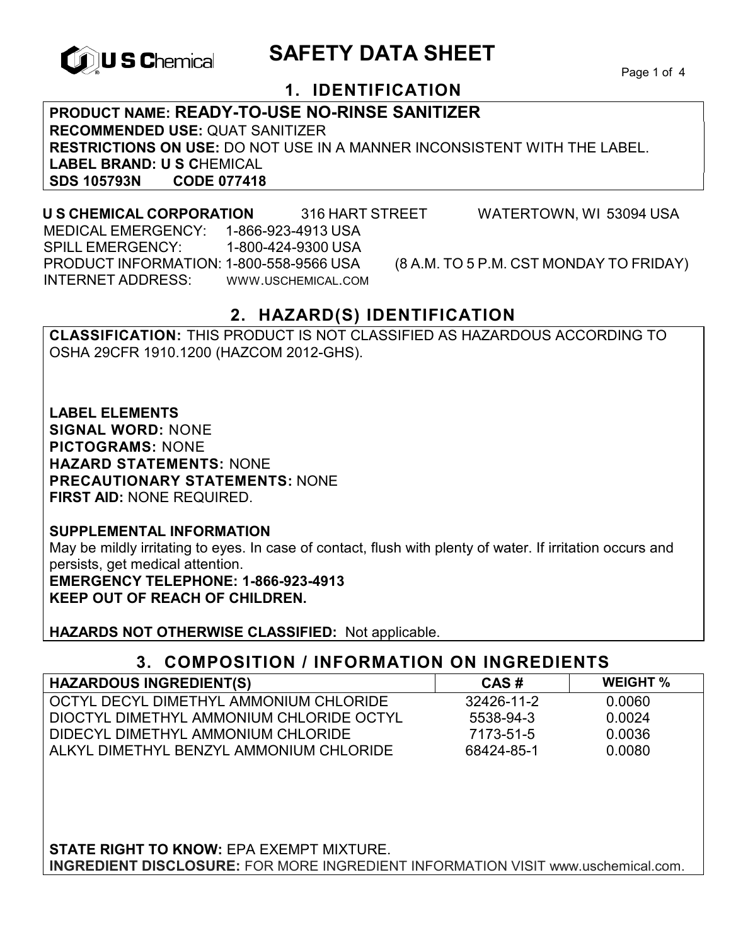

# **TOUS C**hemical SAFETY DATA SHEET

Page 1 of 4

## **1. IDENTIFICATION**

**PRODUCT NAME: READY-TO-USE NO-RINSE SANITIZER RECOMMENDED USE:** QUAT SANITIZER **RESTRICTIONS ON USE:** DO NOT USE IN A MANNER INCONSISTENT WITH THE LABEL. **LABEL BRAND: U S C**HEMICAL **SDS 105793N CODE 077418** 

#### **U S CHEMICAL CORPORATION** 316 HART STREET WATERTOWN, WI 53094 USA MEDICAL EMERGENCY: 1-866-923-4913 USA SPILL EMERGENCY: 1-800-424-9300 USA PRODUCT INFORMATION: 1-800-558-9566 USA (8 A.M. TO 5 P.M. CST MONDAY TO FRIDAY) INTERNET ADDRESS: WWW.USCHEMICAL.COM

## **2. HAZARD(S) IDENTIFICATION**

**CLASSIFICATION:** THIS PRODUCT IS NOT CLASSIFIED AS HAZARDOUS ACCORDING TO OSHA 29CFR 1910.1200 (HAZCOM 2012-GHS).

**LABEL ELEMENTS SIGNAL WORD:** NONE **PICTOGRAMS:** NONE **HAZARD STATEMENTS:** NONE **PRECAUTIONARY STATEMENTS:** NONE **FIRST AID:** NONE REQUIRED.

**SUPPLEMENTAL INFORMATION**  May be mildly irritating to eyes. In case of contact, flush with plenty of water. If irritation occurs and persists, get medical attention. **EMERGENCY TELEPHONE: 1-866-923-4913** 

**KEEP OUT OF REACH OF CHILDREN.** 

**HAZARDS NOT OTHERWISE CLASSIFIED:** Not applicable.

## **3. COMPOSITION / INFORMATION ON INGREDIENTS**

| <b>HAZARDOUS INGREDIENT(S)</b>             | CAS#       | <b>WEIGHT</b> % |
|--------------------------------------------|------------|-----------------|
| OCTYL DECYL DIMETHYL AMMONIUM CHLORIDE     | 32426-11-2 | 0.0060          |
| I DIOCTYL DIMETHYL AMMONIUM CHLORIDE OCTYL | 5538-94-3  | 0.0024          |
| I DIDECYL DIMETHYL AMMONIUM CHLORIDE       | 7173-51-5  | 0.0036          |
| ALKYL DIMETHYL BENZYL AMMONIUM CHLORIDE    | 68424-85-1 | 0.0080          |

**STATE RIGHT TO KNOW:** EPA EXEMPT MIXTURE. **INGREDIENT DISCLOSURE:** FOR MORE INGREDIENT INFORMATION VISIT www.uschemical.com.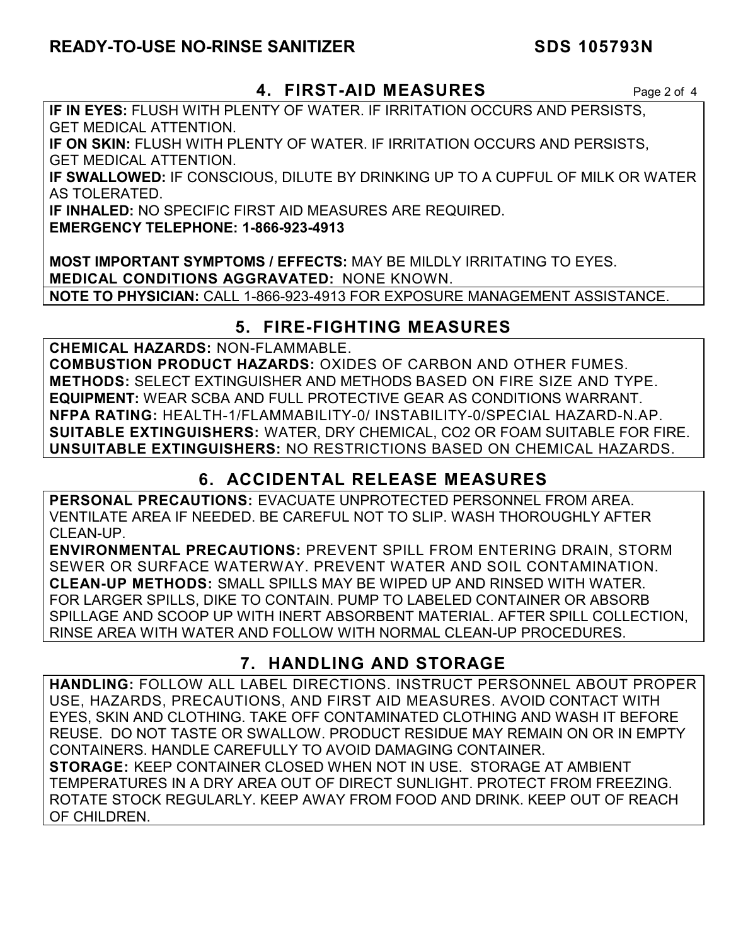## **READY-TO-USE NO-RINSE SANITIZER SDS 105793N**

## **4. FIRST-AID MEASURES** Page 2 of 4

**IF IN EYES:** FLUSH WITH PLENTY OF WATER. IF IRRITATION OCCURS AND PERSISTS, GET MEDICAL ATTENTION.

**IF ON SKIN:** FLUSH WITH PLENTY OF WATER. IF IRRITATION OCCURS AND PERSISTS, GET MEDICAL ATTENTION.

**IF SWALLOWED:** IF CONSCIOUS, DILUTE BY DRINKING UP TO A CUPFUL OF MILK OR WATER AS TOLERATED.

**IF INHALED:** NO SPECIFIC FIRST AID MEASURES ARE REQUIRED.

**EMERGENCY TELEPHONE: 1-866-923-4913** 

**MOST IMPORTANT SYMPTOMS / EFFECTS:** MAY BE MILDLY IRRITATING TO EYES. **MEDICAL CONDITIONS AGGRAVATED:** NONE KNOWN. **NOTE TO PHYSICIAN:** CALL 1-866-923-4913 FOR EXPOSURE MANAGEMENT ASSISTANCE.

## **5. FIRE-FIGHTING MEASURES**

**CHEMICAL HAZARDS:** NON-FLAMMABLE.

**COMBUSTION PRODUCT HAZARDS:** OXIDES OF CARBON AND OTHER FUMES. **METHODS:** SELECT EXTINGUISHER AND METHODS BASED ON FIRE SIZE AND TYPE. **EQUIPMENT:** WEAR SCBA AND FULL PROTECTIVE GEAR AS CONDITIONS WARRANT. **NFPA RATING:** HEALTH-1/FLAMMABILITY-0/ INSTABILITY-0/SPECIAL HAZARD-N.AP. **SUITABLE EXTINGUISHERS:** WATER, DRY CHEMICAL, CO2 OR FOAM SUITABLE FOR FIRE. **UNSUITABLE EXTINGUISHERS:** NO RESTRICTIONS BASED ON CHEMICAL HAZARDS.

## **6. ACCIDENTAL RELEASE MEASURES**

**PERSONAL PRECAUTIONS:** EVACUATE UNPROTECTED PERSONNEL FROM AREA. VENTILATE AREA IF NEEDED. BE CAREFUL NOT TO SLIP. WASH THOROUGHLY AFTER CLEAN-UP.

**ENVIRONMENTAL PRECAUTIONS:** PREVENT SPILL FROM ENTERING DRAIN, STORM SEWER OR SURFACE WATERWAY. PREVENT WATER AND SOIL CONTAMINATION. **CLEAN-UP METHODS:** SMALL SPILLS MAY BE WIPED UP AND RINSED WITH WATER. FOR LARGER SPILLS, DIKE TO CONTAIN. PUMP TO LABELED CONTAINER OR ABSORB SPILLAGE AND SCOOP UP WITH INERT ABSORBENT MATERIAL. AFTER SPILL COLLECTION, RINSE AREA WITH WATER AND FOLLOW WITH NORMAL CLEAN-UP PROCEDURES.

## **7. HANDLING AND STORAGE**

**HANDLING:** FOLLOW ALL LABEL DIRECTIONS. INSTRUCT PERSONNEL ABOUT PROPER USE, HAZARDS, PRECAUTIONS, AND FIRST AID MEASURES. AVOID CONTACT WITH EYES, SKIN AND CLOTHING. TAKE OFF CONTAMINATED CLOTHING AND WASH IT BEFORE REUSE. DO NOT TASTE OR SWALLOW. PRODUCT RESIDUE MAY REMAIN ON OR IN EMPTY CONTAINERS. HANDLE CAREFULLY TO AVOID DAMAGING CONTAINER.

**STORAGE:** KEEP CONTAINER CLOSED WHEN NOT IN USE. STORAGE AT AMBIENT TEMPERATURES IN A DRY AREA OUT OF DIRECT SUNLIGHT. PROTECT FROM FREEZING. ROTATE STOCK REGULARLY. KEEP AWAY FROM FOOD AND DRINK. KEEP OUT OF REACH OF CHILDREN.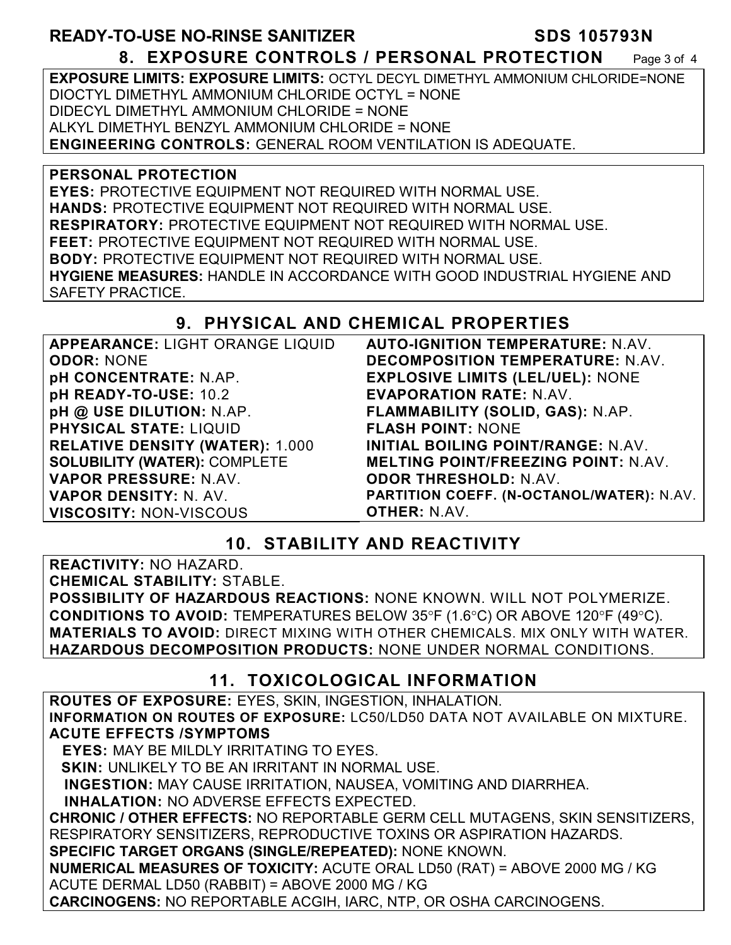## **READY-TO-USE NO-RINSE SANITIZER SDS 105793N 8. EXPOSURE CONTROLS / PERSONAL PROTECTION** Page 3 of 4

**EXPOSURE LIMITS: EXPOSURE LIMITS:** OCTYL DECYL DIMETHYL AMMONIUM CHLORIDE=NONE DIOCTYL DIMETHYL AMMONIUM CHLORIDE OCTYL = NONE DIDECYL DIMETHYL AMMONIUM CHLORIDE = NONE ALKYL DIMETHYL BENZYL AMMONIUM CHLORIDE = NONE **ENGINEERING CONTROLS:** GENERAL ROOM VENTILATION IS ADEQUATE.

#### **PERSONAL PROTECTION**

**EYES:** PROTECTIVE EQUIPMENT NOT REQUIRED WITH NORMAL USE. **HANDS:** PROTECTIVE EQUIPMENT NOT REQUIRED WITH NORMAL USE. **RESPIRATORY:** PROTECTIVE EQUIPMENT NOT REQUIRED WITH NORMAL USE. **FEET:** PROTECTIVE EQUIPMENT NOT REQUIRED WITH NORMAL USE. **BODY:** PROTECTIVE EQUIPMENT NOT REQUIRED WITH NORMAL USE. **HYGIENE MEASURES:** HANDLE IN ACCORDANCE WITH GOOD INDUSTRIAL HYGIENE AND SAFETY PRACTICE.

## **9. PHYSICAL AND CHEMICAL PROPERTIES**

| APPEARANCE: LIGHT ORANGE LIQUID        | <b>AUTO-IGNITION TEMPERATURE: N.AV.</b>    |
|----------------------------------------|--------------------------------------------|
| <b>ODOR: NONE</b>                      | DECOMPOSITION TEMPERATURE: N.AV.           |
| pH CONCENTRATE: N.AP.                  | <b>EXPLOSIVE LIMITS (LEL/UEL): NONE</b>    |
| pH READY-TO-USE: 10.2                  | <b>EVAPORATION RATE: N.AV.</b>             |
| pH @ USE DILUTION: N.AP.               | FLAMMABILITY (SOLID, GAS): N.AP.           |
| <b>PHYSICAL STATE: LIQUID</b>          | <b>FLASH POINT: NONE</b>                   |
| <b>RELATIVE DENSITY (WATER): 1.000</b> | INITIAL BOILING POINT/RANGE: N.AV.         |
| <b>SOLUBILITY (WATER): COMPLETE</b>    | <b>MELTING POINT/FREEZING POINT: N.AV.</b> |
| VAPOR PRESSURE: N.AV.                  | <b>ODOR THRESHOLD: N.AV.</b>               |
| VAPOR DENSITY: N. AV.                  | PARTITION COEFF. (N-OCTANOL/WATER): N.AV.  |
| <b>VISCOSITY: NON-VISCOUS</b>          | <b>OTHER: N.AV.</b>                        |

## **10. STABILITY AND REACTIVITY**

**REACTIVITY:** NO HAZARD.

**CHEMICAL STABILITY:** STABLE.

**POSSIBILITY OF HAZARDOUS REACTIONS:** NONE KNOWN. WILL NOT POLYMERIZE. **CONDITIONS TO AVOID:** TEMPERATURES BELOW 35°F (1.6°C) OR ABOVE 120°F (49°C). **MATERIALS TO AVOID:** DIRECT MIXING WITH OTHER CHEMICALS. MIX ONLY WITH WATER. **HAZARDOUS DECOMPOSITION PRODUCTS:** NONE UNDER NORMAL CONDITIONS.

## **11. TOXICOLOGICAL INFORMATION**

**ROUTES OF EXPOSURE:** EYES, SKIN, INGESTION, INHALATION. **INFORMATION ON ROUTES OF EXPOSURE:** LC50/LD50 DATA NOT AVAILABLE ON MIXTURE. **ACUTE EFFECTS /SYMPTOMS**

 **EYES:** MAY BE MILDLY IRRITATING TO EYES.

**SKIN:** UNLIKELY TO BE AN IRRITANT IN NORMAL USE.

**INGESTION:** MAY CAUSE IRRITATION, NAUSEA, VOMITING AND DIARRHEA.

**INHALATION:** NO ADVERSE EFFECTS EXPECTED.

**CHRONIC / OTHER EFFECTS:** NO REPORTABLE GERM CELL MUTAGENS, SKIN SENSITIZERS, RESPIRATORY SENSITIZERS, REPRODUCTIVE TOXINS OR ASPIRATION HAZARDS.

**SPECIFIC TARGET ORGANS (SINGLE/REPEATED):** NONE KNOWN.

**NUMERICAL MEASURES OF TOXICITY:** ACUTE ORAL LD50 (RAT) = ABOVE 2000 MG / KG ACUTE DERMAL LD50 (RABBIT) = ABOVE 2000 MG / KG

**CARCINOGENS:** NO REPORTABLE ACGIH, IARC, NTP, OR OSHA CARCINOGENS.